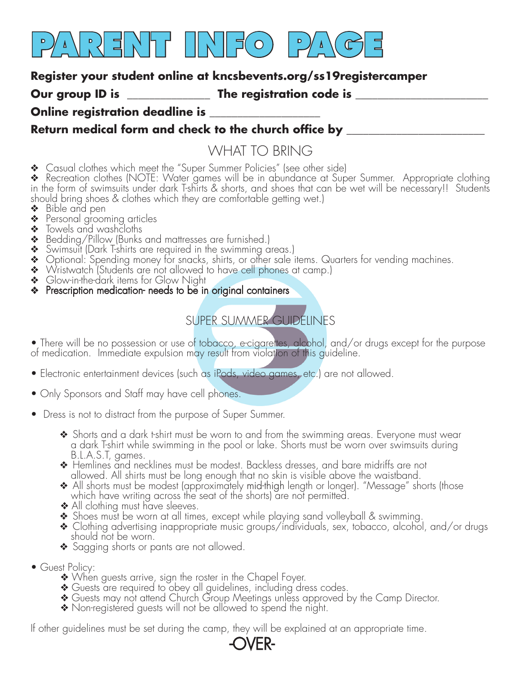

#### **Register your student online at kncsbevents.org/ss19registercamper**

**Our group ID is \_\_\_\_\_\_\_\_\_\_\_\_\_\_\_ The registration code is \_\_\_\_\_\_\_\_\_\_\_\_\_\_\_\_\_\_\_\_\_\_\_\_**

#### **Online registration deadline is**

### Return medical form and check to the church office by **\_\_\_\_\_\_\_\_\_\_\_\_\_\_\_\_\_\_\_\_\_\_\_\_**

## WHAT TO BRING

❖ Casual clothes which meet the "Super Summer Policies" (see other side)

❖ Recreation clothes (NOTE: Water games will be in abundance at Super Summer. Appropriate clothing in the form of swimsuits under dark T-shirts & shorts, and shoes that can be wet will be necessary!! Students should bring shoes & clothes which they are comfortable getting wet.)

- ❖ Bible and pen
- ◆ Personal grooming articles
- ❖ Towels and washcloths
- ❖ Bedding/Pillow (Bunks and mattresses are furnished.)
- ❖ Swimsuit (Dark T-shirts are required in the swimming areas.)
- ❖ Optional: Spending money for snacks, shirts, or other sale items. Quarters for vending machines.
- ❖ Wristwatch (Students are not allowed to have cell phones at camp.)
- ❖ Glow-in-the-dark items for Glow Night
- ◆ Prescription medication- needs to be in original containers

## SUPER SUMMER GUIDELINES

• There will be no possession or use of tobacco, e-cigarettes, alcohol, and/or drugs except for the purpose of medication. Immediate expulsion may result from violation of this guideline.

- Electronic entertainment devices (such as iPods, video games, etc.) are not allowed.
- Only Sponsors and Staff may have cell phones.
- Dress is not to distract from the purpose of Super Summer.
	- ❖ Shorts and a dark t-shirt must be worn to and from the swimming areas. Everyone must wear a dark T-shirt while swimming in the pool or lake. Shorts must be worn over swimsuits during
- B.L.A.S.T, games. ❖ Hemlines and necklines must be modest. Backless dresses, and bare midriffs are not allowed. All shirts must be long enough that no skin is visible above the waistband.
	- All shorts must be modest (approximately mid-thigh length or longer). "Message" shorts (those which have writing across the seat of the shorts) are not permitted.
	- ◆ All clothing must have sleeves.
	- ❖ Shoes must be worn at all times, except while playing sand volleyball & swimming.
	- ❖ Clothing advertising inappropriate music groups/individuals, sex, tobacco, alcohol, and/or drugs should not be worn.
	- ❖ Sagging shorts or pants are not allowed.
- Guest Policy:
	- ❖ When guests arrive, sign the roster in the Chapel Foyer.
	- ❖ Guests are required to obey all guidelines, including dress codes.
	- Guests may not attend Church Group Meetings unless approved by the Camp Director.
	- Non-registered guests will not be allowed to spend the night.

If other guidelines must be set during the camp, they will be explained at an appropriate time.

# -OVER-